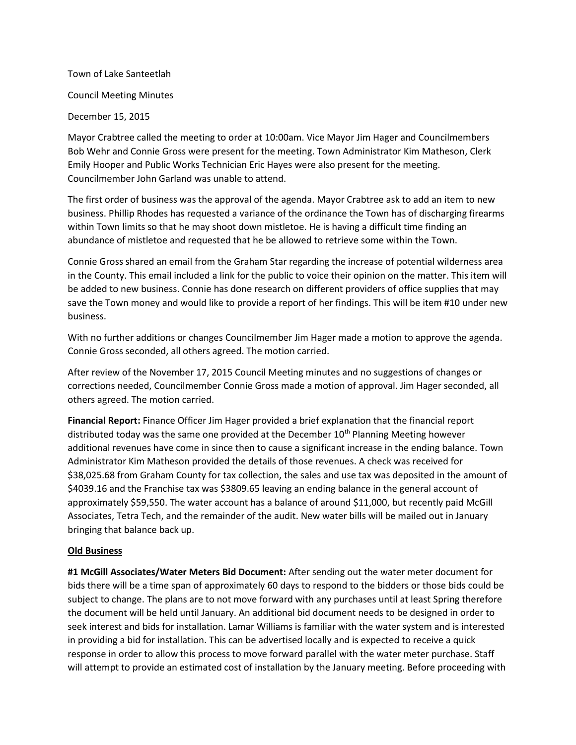## Town of Lake Santeetlah

Council Meeting Minutes

December 15, 2015

Mayor Crabtree called the meeting to order at 10:00am. Vice Mayor Jim Hager and Councilmembers Bob Wehr and Connie Gross were present for the meeting. Town Administrator Kim Matheson, Clerk Emily Hooper and Public Works Technician Eric Hayes were also present for the meeting. Councilmember John Garland was unable to attend.

The first order of business was the approval of the agenda. Mayor Crabtree ask to add an item to new business. Phillip Rhodes has requested a variance of the ordinance the Town has of discharging firearms within Town limits so that he may shoot down mistletoe. He is having a difficult time finding an abundance of mistletoe and requested that he be allowed to retrieve some within the Town.

Connie Gross shared an email from the Graham Star regarding the increase of potential wilderness area in the County. This email included a link for the public to voice their opinion on the matter. This item will be added to new business. Connie has done research on different providers of office supplies that may save the Town money and would like to provide a report of her findings. This will be item #10 under new business.

With no further additions or changes Councilmember Jim Hager made a motion to approve the agenda. Connie Gross seconded, all others agreed. The motion carried.

After review of the November 17, 2015 Council Meeting minutes and no suggestions of changes or corrections needed, Councilmember Connie Gross made a motion of approval. Jim Hager seconded, all others agreed. The motion carried.

**Financial Report:** Finance Officer Jim Hager provided a brief explanation that the financial report distributed today was the same one provided at the December 10<sup>th</sup> Planning Meeting however additional revenues have come in since then to cause a significant increase in the ending balance. Town Administrator Kim Matheson provided the details of those revenues. A check was received for \$38,025.68 from Graham County for tax collection, the sales and use tax was deposited in the amount of \$4039.16 and the Franchise tax was \$3809.65 leaving an ending balance in the general account of approximately \$59,550. The water account has a balance of around \$11,000, but recently paid McGill Associates, Tetra Tech, and the remainder of the audit. New water bills will be mailed out in January bringing that balance back up.

## **Old Business**

**#1 McGill Associates/Water Meters Bid Document:** After sending out the water meter document for bids there will be a time span of approximately 60 days to respond to the bidders or those bids could be subject to change. The plans are to not move forward with any purchases until at least Spring therefore the document will be held until January. An additional bid document needs to be designed in order to seek interest and bids for installation. Lamar Williams is familiar with the water system and is interested in providing a bid for installation. This can be advertised locally and is expected to receive a quick response in order to allow this process to move forward parallel with the water meter purchase. Staff will attempt to provide an estimated cost of installation by the January meeting. Before proceeding with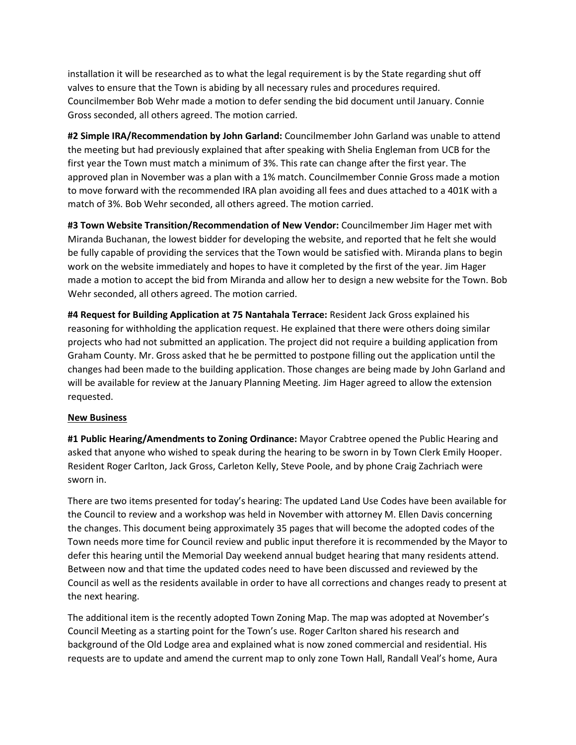installation it will be researched as to what the legal requirement is by the State regarding shut off valves to ensure that the Town is abiding by all necessary rules and procedures required. Councilmember Bob Wehr made a motion to defer sending the bid document until January. Connie Gross seconded, all others agreed. The motion carried.

**#2 Simple IRA/Recommendation by John Garland:** Councilmember John Garland was unable to attend the meeting but had previously explained that after speaking with Shelia Engleman from UCB for the first year the Town must match a minimum of 3%. This rate can change after the first year. The approved plan in November was a plan with a 1% match. Councilmember Connie Gross made a motion to move forward with the recommended IRA plan avoiding all fees and dues attached to a 401K with a match of 3%. Bob Wehr seconded, all others agreed. The motion carried.

**#3 Town Website Transition/Recommendation of New Vendor:** Councilmember Jim Hager met with Miranda Buchanan, the lowest bidder for developing the website, and reported that he felt she would be fully capable of providing the services that the Town would be satisfied with. Miranda plans to begin work on the website immediately and hopes to have it completed by the first of the year. Jim Hager made a motion to accept the bid from Miranda and allow her to design a new website for the Town. Bob Wehr seconded, all others agreed. The motion carried.

**#4 Request for Building Application at 75 Nantahala Terrace:** Resident Jack Gross explained his reasoning for withholding the application request. He explained that there were others doing similar projects who had not submitted an application. The project did not require a building application from Graham County. Mr. Gross asked that he be permitted to postpone filling out the application until the changes had been made to the building application. Those changes are being made by John Garland and will be available for review at the January Planning Meeting. Jim Hager agreed to allow the extension requested.

## **New Business**

**#1 Public Hearing/Amendments to Zoning Ordinance:** Mayor Crabtree opened the Public Hearing and asked that anyone who wished to speak during the hearing to be sworn in by Town Clerk Emily Hooper. Resident Roger Carlton, Jack Gross, Carleton Kelly, Steve Poole, and by phone Craig Zachriach were sworn in.

There are two items presented for today's hearing: The updated Land Use Codes have been available for the Council to review and a workshop was held in November with attorney M. Ellen Davis concerning the changes. This document being approximately 35 pages that will become the adopted codes of the Town needs more time for Council review and public input therefore it is recommended by the Mayor to defer this hearing until the Memorial Day weekend annual budget hearing that many residents attend. Between now and that time the updated codes need to have been discussed and reviewed by the Council as well as the residents available in order to have all corrections and changes ready to present at the next hearing.

The additional item is the recently adopted Town Zoning Map. The map was adopted at November's Council Meeting as a starting point for the Town's use. Roger Carlton shared his research and background of the Old Lodge area and explained what is now zoned commercial and residential. His requests are to update and amend the current map to only zone Town Hall, Randall Veal's home, Aura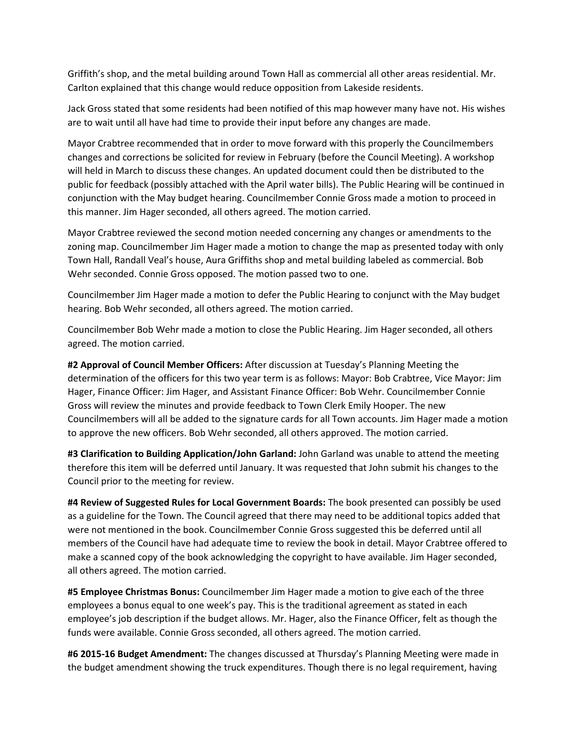Griffith's shop, and the metal building around Town Hall as commercial all other areas residential. Mr. Carlton explained that this change would reduce opposition from Lakeside residents.

Jack Gross stated that some residents had been notified of this map however many have not. His wishes are to wait until all have had time to provide their input before any changes are made.

Mayor Crabtree recommended that in order to move forward with this properly the Councilmembers changes and corrections be solicited for review in February (before the Council Meeting). A workshop will held in March to discuss these changes. An updated document could then be distributed to the public for feedback (possibly attached with the April water bills). The Public Hearing will be continued in conjunction with the May budget hearing. Councilmember Connie Gross made a motion to proceed in this manner. Jim Hager seconded, all others agreed. The motion carried.

Mayor Crabtree reviewed the second motion needed concerning any changes or amendments to the zoning map. Councilmember Jim Hager made a motion to change the map as presented today with only Town Hall, Randall Veal's house, Aura Griffiths shop and metal building labeled as commercial. Bob Wehr seconded. Connie Gross opposed. The motion passed two to one.

Councilmember Jim Hager made a motion to defer the Public Hearing to conjunct with the May budget hearing. Bob Wehr seconded, all others agreed. The motion carried.

Councilmember Bob Wehr made a motion to close the Public Hearing. Jim Hager seconded, all others agreed. The motion carried.

**#2 Approval of Council Member Officers:** After discussion at Tuesday's Planning Meeting the determination of the officers for this two year term is as follows: Mayor: Bob Crabtree, Vice Mayor: Jim Hager, Finance Officer: Jim Hager, and Assistant Finance Officer: Bob Wehr. Councilmember Connie Gross will review the minutes and provide feedback to Town Clerk Emily Hooper. The new Councilmembers will all be added to the signature cards for all Town accounts. Jim Hager made a motion to approve the new officers. Bob Wehr seconded, all others approved. The motion carried.

**#3 Clarification to Building Application/John Garland:** John Garland was unable to attend the meeting therefore this item will be deferred until January. It was requested that John submit his changes to the Council prior to the meeting for review.

**#4 Review of Suggested Rules for Local Government Boards:** The book presented can possibly be used as a guideline for the Town. The Council agreed that there may need to be additional topics added that were not mentioned in the book. Councilmember Connie Gross suggested this be deferred until all members of the Council have had adequate time to review the book in detail. Mayor Crabtree offered to make a scanned copy of the book acknowledging the copyright to have available. Jim Hager seconded, all others agreed. The motion carried.

**#5 Employee Christmas Bonus:** Councilmember Jim Hager made a motion to give each of the three employees a bonus equal to one week's pay. This is the traditional agreement as stated in each employee's job description if the budget allows. Mr. Hager, also the Finance Officer, felt as though the funds were available. Connie Gross seconded, all others agreed. The motion carried.

**#6 2015-16 Budget Amendment:** The changes discussed at Thursday's Planning Meeting were made in the budget amendment showing the truck expenditures. Though there is no legal requirement, having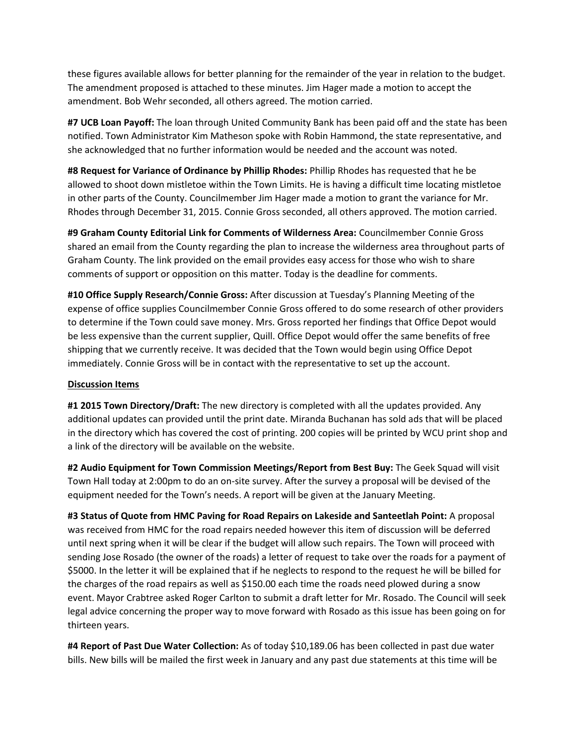these figures available allows for better planning for the remainder of the year in relation to the budget. The amendment proposed is attached to these minutes. Jim Hager made a motion to accept the amendment. Bob Wehr seconded, all others agreed. The motion carried.

**#7 UCB Loan Payoff:** The loan through United Community Bank has been paid off and the state has been notified. Town Administrator Kim Matheson spoke with Robin Hammond, the state representative, and she acknowledged that no further information would be needed and the account was noted.

**#8 Request for Variance of Ordinance by Phillip Rhodes:** Phillip Rhodes has requested that he be allowed to shoot down mistletoe within the Town Limits. He is having a difficult time locating mistletoe in other parts of the County. Councilmember Jim Hager made a motion to grant the variance for Mr. Rhodes through December 31, 2015. Connie Gross seconded, all others approved. The motion carried.

**#9 Graham County Editorial Link for Comments of Wilderness Area:** Councilmember Connie Gross shared an email from the County regarding the plan to increase the wilderness area throughout parts of Graham County. The link provided on the email provides easy access for those who wish to share comments of support or opposition on this matter. Today is the deadline for comments.

**#10 Office Supply Research/Connie Gross:** After discussion at Tuesday's Planning Meeting of the expense of office supplies Councilmember Connie Gross offered to do some research of other providers to determine if the Town could save money. Mrs. Gross reported her findings that Office Depot would be less expensive than the current supplier, Quill. Office Depot would offer the same benefits of free shipping that we currently receive. It was decided that the Town would begin using Office Depot immediately. Connie Gross will be in contact with the representative to set up the account.

## **Discussion Items**

**#1 2015 Town Directory/Draft:** The new directory is completed with all the updates provided. Any additional updates can provided until the print date. Miranda Buchanan has sold ads that will be placed in the directory which has covered the cost of printing. 200 copies will be printed by WCU print shop and a link of the directory will be available on the website.

**#2 Audio Equipment for Town Commission Meetings/Report from Best Buy:** The Geek Squad will visit Town Hall today at 2:00pm to do an on-site survey. After the survey a proposal will be devised of the equipment needed for the Town's needs. A report will be given at the January Meeting.

**#3 Status of Quote from HMC Paving for Road Repairs on Lakeside and Santeetlah Point:** A proposal was received from HMC for the road repairs needed however this item of discussion will be deferred until next spring when it will be clear if the budget will allow such repairs. The Town will proceed with sending Jose Rosado (the owner of the roads) a letter of request to take over the roads for a payment of \$5000. In the letter it will be explained that if he neglects to respond to the request he will be billed for the charges of the road repairs as well as \$150.00 each time the roads need plowed during a snow event. Mayor Crabtree asked Roger Carlton to submit a draft letter for Mr. Rosado. The Council will seek legal advice concerning the proper way to move forward with Rosado as this issue has been going on for thirteen years.

**#4 Report of Past Due Water Collection:** As of today \$10,189.06 has been collected in past due water bills. New bills will be mailed the first week in January and any past due statements at this time will be